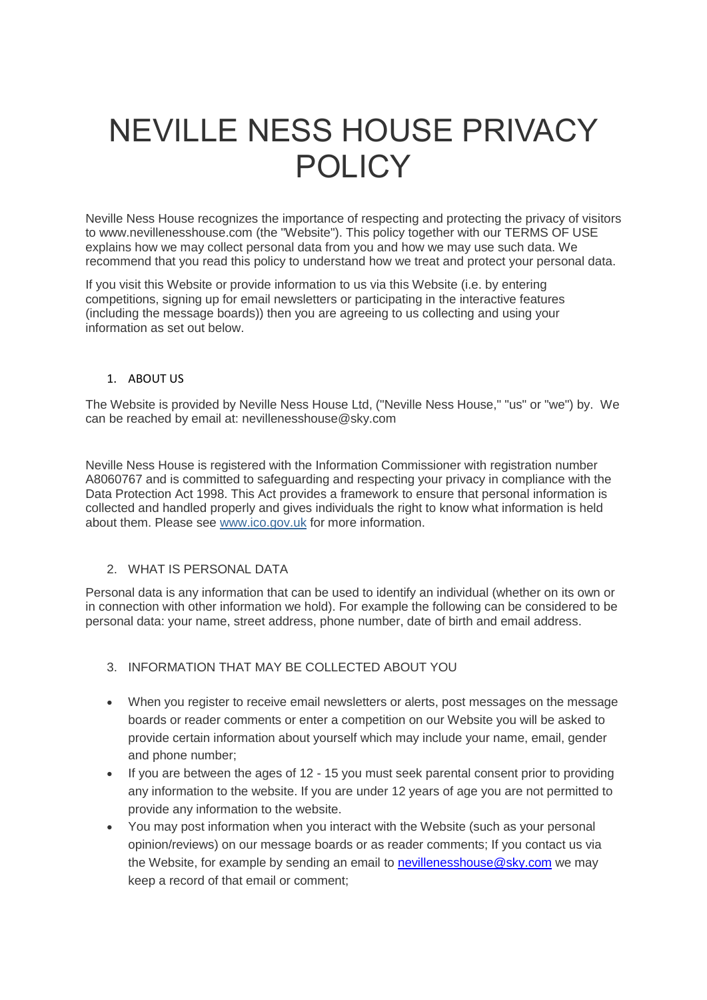# NEVILLE NESS HOUSE PRIVACY POLICY

Neville Ness House recognizes the importance of respecting and protecting the privacy of visitors to www.nevillenesshouse.com (the "Website"). This policy together with our TERMS OF USE explains how we may collect personal data from you and how we may use such data. We recommend that you read this policy to understand how we treat and protect your personal data.

If you visit this Website or provide information to us via this Website (i.e. by entering competitions, signing up for email newsletters or participating in the interactive features (including the message boards)) then you are agreeing to us collecting and using your information as set out below.

#### 1. ABOUT US

The Website is provided by Neville Ness House Ltd, ("Neville Ness House," "us" or "we") by. We can be reached by email at: nevillenesshouse@sky.com

Neville Ness House is registered with the Information Commissioner with registration number A8060767 and is committed to safeguarding and respecting your privacy in compliance with the Data Protection Act 1998. This Act provides a framework to ensure that personal information is collected and handled properly and gives individuals the right to know what information is held about them. Please see [www.ico.gov.uk](http://www.ico.gov.uk/) for more information.

# 2. WHAT IS PERSONAL DATA

Personal data is any information that can be used to identify an individual (whether on its own or in connection with other information we hold). For example the following can be considered to be personal data: your name, street address, phone number, date of birth and email address.

# 3. INFORMATION THAT MAY BE COLLECTED ABOUT YOU

- When you register to receive email newsletters or alerts, post messages on the message boards or reader comments or enter a competition on our Website you will be asked to provide certain information about yourself which may include your name, email, gender and phone number;
- If you are between the ages of 12 15 you must seek parental consent prior to providing any information to the website. If you are under 12 years of age you are not permitted to provide any information to the website.
- You may post information when you interact with the Website (such as your personal opinion/reviews) on our message boards or as reader comments; If you contact us via the Website, for example by sending an email to [nevillenesshouse@sky.com](mailto:nevillenesshouse@sky.com) we may keep a record of that email or comment;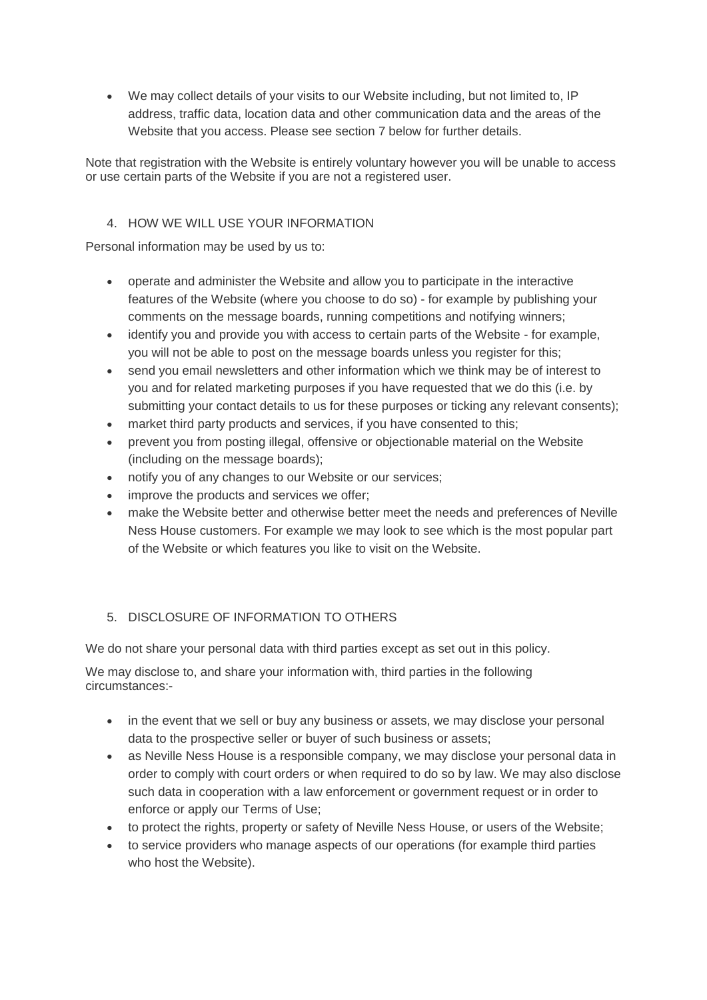We may collect details of your visits to our Website including, but not limited to, IP address, traffic data, location data and other communication data and the areas of the Website that you access. Please see section 7 below for further details.

Note that registration with the Website is entirely voluntary however you will be unable to access or use certain parts of the Website if you are not a registered user.

# 4. HOW WE WILL USE YOUR INFORMATION

Personal information may be used by us to:

- operate and administer the Website and allow you to participate in the interactive features of the Website (where you choose to do so) - for example by publishing your comments on the message boards, running competitions and notifying winners;
- identify you and provide you with access to certain parts of the Website for example, you will not be able to post on the message boards unless you register for this;
- send you email newsletters and other information which we think may be of interest to you and for related marketing purposes if you have requested that we do this (i.e. by submitting your contact details to us for these purposes or ticking any relevant consents);
- market third party products and services, if you have consented to this;
- prevent you from posting illegal, offensive or objectionable material on the Website (including on the message boards);
- notify you of any changes to our Website or our services;
- improve the products and services we offer;
- make the Website better and otherwise better meet the needs and preferences of Neville Ness House customers. For example we may look to see which is the most popular part of the Website or which features you like to visit on the Website.

# 5. DISCLOSURE OF INFORMATION TO OTHERS

We do not share your personal data with third parties except as set out in this policy.

We may disclose to, and share your information with, third parties in the following circumstances:-

- in the event that we sell or buy any business or assets, we may disclose your personal data to the prospective seller or buyer of such business or assets;
- as Neville Ness House is a responsible company, we may disclose your personal data in order to comply with court orders or when required to do so by law. We may also disclose such data in cooperation with a law enforcement or government request or in order to enforce or apply our Terms of Use;
- to protect the rights, property or safety of Neville Ness House, or users of the Website;
- to service providers who manage aspects of our operations (for example third parties who host the Website).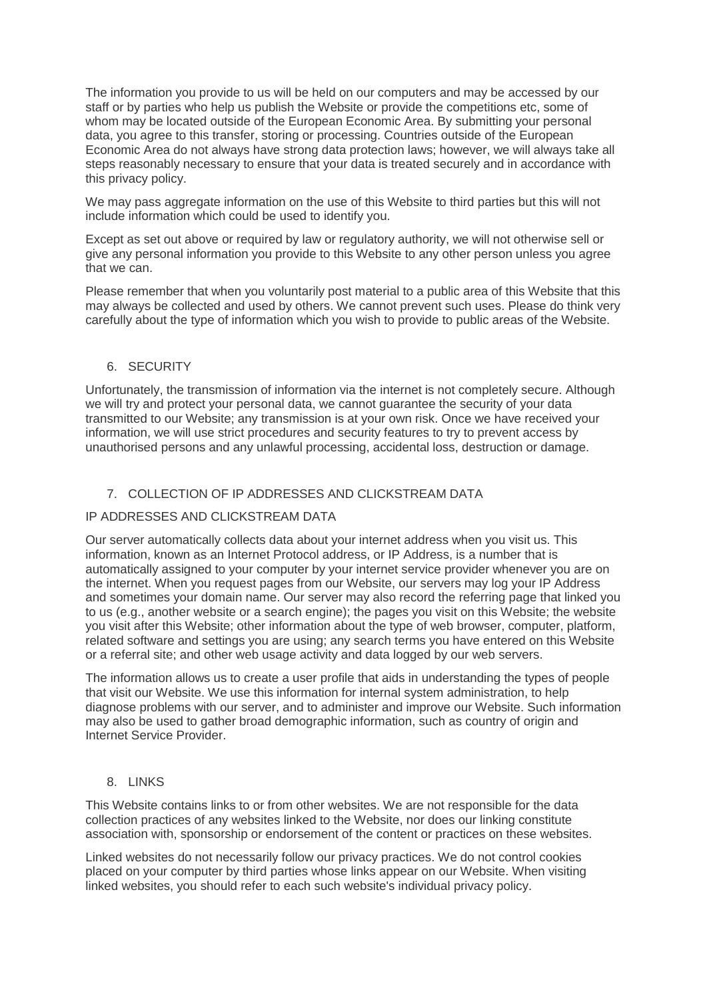The information you provide to us will be held on our computers and may be accessed by our staff or by parties who help us publish the Website or provide the competitions etc, some of whom may be located outside of the European Economic Area. By submitting your personal data, you agree to this transfer, storing or processing. Countries outside of the European Economic Area do not always have strong data protection laws; however, we will always take all steps reasonably necessary to ensure that your data is treated securely and in accordance with this privacy policy.

We may pass aggregate information on the use of this Website to third parties but this will not include information which could be used to identify you.

Except as set out above or required by law or regulatory authority, we will not otherwise sell or give any personal information you provide to this Website to any other person unless you agree that we can.

Please remember that when you voluntarily post material to a public area of this Website that this may always be collected and used by others. We cannot prevent such uses. Please do think very carefully about the type of information which you wish to provide to public areas of the Website.

## 6. SECURITY

Unfortunately, the transmission of information via the internet is not completely secure. Although we will try and protect your personal data, we cannot guarantee the security of your data transmitted to our Website; any transmission is at your own risk. Once we have received your information, we will use strict procedures and security features to try to prevent access by unauthorised persons and any unlawful processing, accidental loss, destruction or damage.

## 7. COLLECTION OF IP ADDRESSES AND CLICKSTREAM DATA

#### IP ADDRESSES AND CLICKSTREAM DATA

Our server automatically collects data about your internet address when you visit us. This information, known as an Internet Protocol address, or IP Address, is a number that is automatically assigned to your computer by your internet service provider whenever you are on the internet. When you request pages from our Website, our servers may log your IP Address and sometimes your domain name. Our server may also record the referring page that linked you to us (e.g., another website or a search engine); the pages you visit on this Website; the website you visit after this Website; other information about the type of web browser, computer, platform, related software and settings you are using; any search terms you have entered on this Website or a referral site; and other web usage activity and data logged by our web servers.

The information allows us to create a user profile that aids in understanding the types of people that visit our Website. We use this information for internal system administration, to help diagnose problems with our server, and to administer and improve our Website. Such information may also be used to gather broad demographic information, such as country of origin and Internet Service Provider.

#### 8. LINKS

This Website contains links to or from other websites. We are not responsible for the data collection practices of any websites linked to the Website, nor does our linking constitute association with, sponsorship or endorsement of the content or practices on these websites.

Linked websites do not necessarily follow our privacy practices. We do not control cookies placed on your computer by third parties whose links appear on our Website. When visiting linked websites, you should refer to each such website's individual privacy policy.